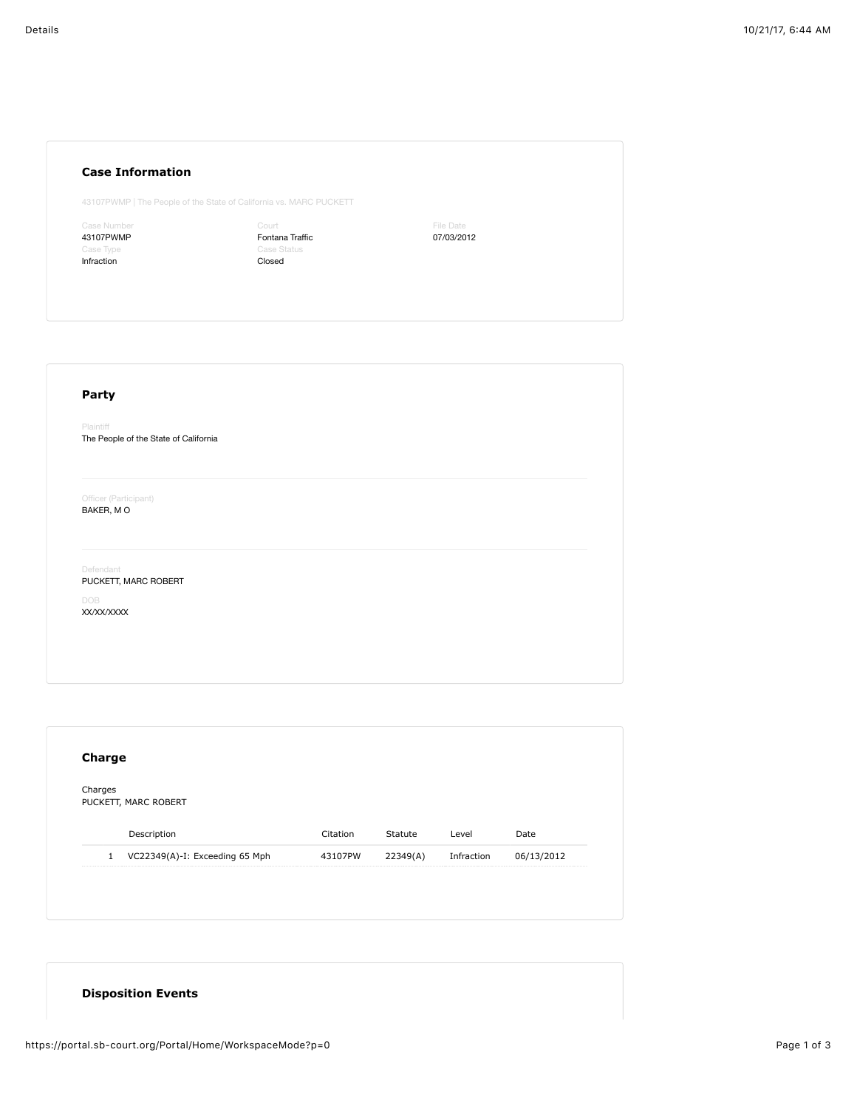## **Case Information**

43107PWMP | The People of the State of California vs. MARC PUCKETT

Case Number 43107PWMP Infraction

Court Fontana Traffic Case Status Closed

File Date 07/03/2012

## **Party** Plaintiff The People of the State of California Officer (Participant) BAKER, M O Defendant PUCKETT, MARC ROBERT DOB XX/XX/XXXX

| Charges | PUCKETT, MARC ROBERT           |          |          |            |            |
|---------|--------------------------------|----------|----------|------------|------------|
|         |                                |          |          |            |            |
|         | Description                    | Citation | Statute  | Level      | Date       |
| 1       | VC22349(A)-I: Exceeding 65 Mph | 43107PW  | 22349(A) | Infraction | 06/13/2012 |

## **Disposition Events**